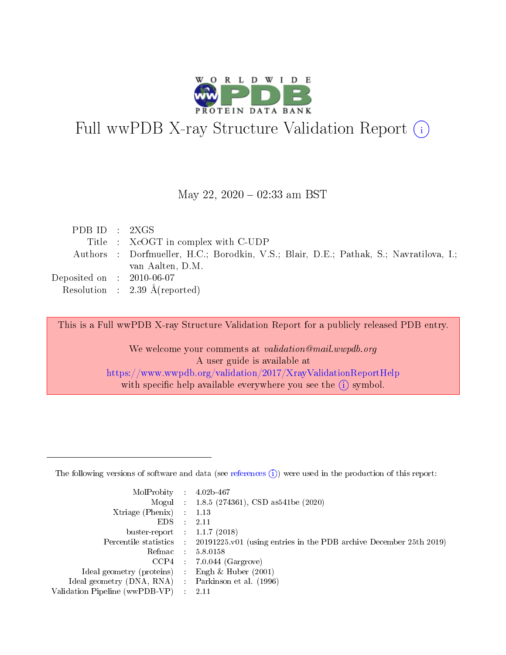

# Full wwPDB X-ray Structure Validation Report (i)

#### May 22,  $2020 - 02:33$  am BST

| PDBID : 2XGS                         |                                                                                        |
|--------------------------------------|----------------------------------------------------------------------------------------|
|                                      | Title : XcOGT in complex with C-UDP                                                    |
|                                      | Authors : Dorfmueller, H.C.; Borodkin, V.S.; Blair, D.E.; Pathak, S.; Navratilova, I.; |
|                                      | van Aalten, D.M.                                                                       |
| Deposited on $\therefore$ 2010-06-07 |                                                                                        |
|                                      | Resolution : 2.39 $\AA$ (reported)                                                     |

This is a Full wwPDB X-ray Structure Validation Report for a publicly released PDB entry.

We welcome your comments at validation@mail.wwpdb.org A user guide is available at <https://www.wwpdb.org/validation/2017/XrayValidationReportHelp> with specific help available everywhere you see the  $(i)$  symbol.

The following versions of software and data (see [references](https://www.wwpdb.org/validation/2017/XrayValidationReportHelp#references)  $(1)$ ) were used in the production of this report:

| MolProbity : 4.02b-467         |   |                                                                                              |
|--------------------------------|---|----------------------------------------------------------------------------------------------|
|                                |   | Mogul : 1.8.5 (274361), CSD as 541be (2020)                                                  |
| $X$ triage (Phenix) :          |   | 1.13                                                                                         |
| EDS.                           |   | 2.11                                                                                         |
| buster-report : $1.1.7$ (2018) |   |                                                                                              |
|                                |   | Percentile statistics : $20191225.v01$ (using entries in the PDB archive December 25th 2019) |
| Refmac :                       |   | 5.8.0158                                                                                     |
| CCP4                           |   | $7.0.044$ (Gargrove)                                                                         |
| Ideal geometry (proteins) :    |   | Engh $\&$ Huber (2001)                                                                       |
| Ideal geometry (DNA, RNA) :    |   | Parkinson et al. (1996)                                                                      |
| Validation Pipeline (wwPDB-VP) | ÷ | -2.11                                                                                        |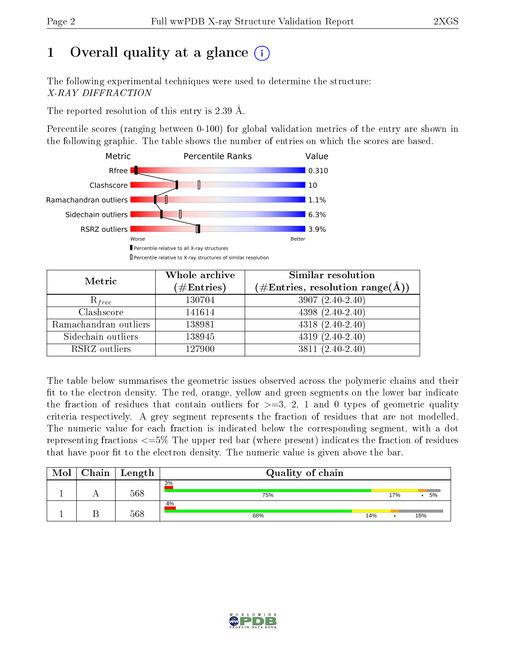# 1 [O](https://www.wwpdb.org/validation/2017/XrayValidationReportHelp#overall_quality)verall quality at a glance  $(i)$

The following experimental techniques were used to determine the structure: X-RAY DIFFRACTION

The reported resolution of this entry is 2.39 Å.

Percentile scores (ranging between 0-100) for global validation metrics of the entry are shown in the following graphic. The table shows the number of entries on which the scores are based.



| Metric                | Whole archive<br>$(\#\text{Entries})$ | Similar resolution<br>$(\#\text{Entries},\,\text{resolution}\,\,\text{range}(\textup{\AA}))$ |
|-----------------------|---------------------------------------|----------------------------------------------------------------------------------------------|
| $R_{free}$            | 130704                                | $3907(2.40-2.40)$                                                                            |
| Clashscore            | 141614                                | $4398(2.40-2.40)$                                                                            |
| Ramachandran outliers | 138981                                | $4318(2.40-2.40)$                                                                            |
| Sidechain outliers    | 138945                                | $4319(2.40-2.40)$                                                                            |
| RSRZ outliers         | 127900                                | $3811 (2.40 - 2.40)$                                                                         |

The table below summarises the geometric issues observed across the polymeric chains and their fit to the electron density. The red, orange, yellow and green segments on the lower bar indicate the fraction of residues that contain outliers for  $>=3, 2, 1$  and 0 types of geometric quality criteria respectively. A grey segment represents the fraction of residues that are not modelled. The numeric value for each fraction is indicated below the corresponding segment, with a dot representing fractions <=5% The upper red bar (where present) indicates the fraction of residues that have poor fit to the electron density. The numeric value is given above the bar.

| Mol | Chain | Length | Quality of chain |     |     |     |  |  |  |
|-----|-------|--------|------------------|-----|-----|-----|--|--|--|
|     |       | 568    | 3%<br>75%        |     | 17% | 5%  |  |  |  |
|     |       | 568    | 4%<br>68%        | 14% |     | 16% |  |  |  |

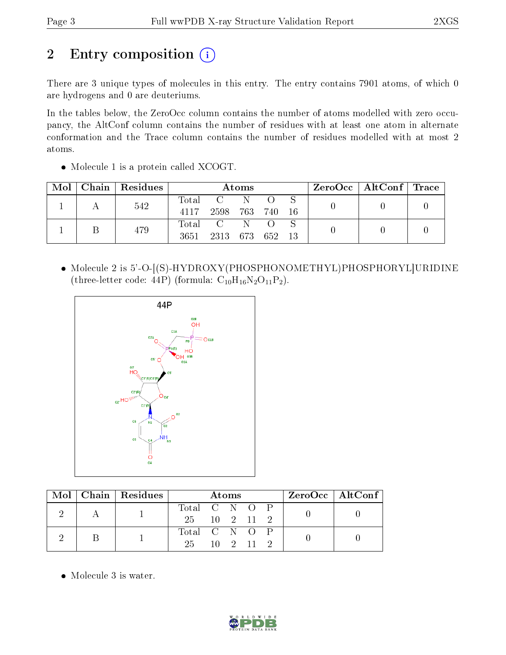# 2 Entry composition (i)

There are 3 unique types of molecules in this entry. The entry contains 7901 atoms, of which 0 are hydrogens and 0 are deuteriums.

In the tables below, the ZeroOcc column contains the number of atoms modelled with zero occupancy, the AltConf column contains the number of residues with at least one atom in alternate conformation and the Trace column contains the number of residues modelled with at most 2 atoms.

| Mol |     | Chain   Residues | Atoms |                 |    |       |      | $ZeroOcc \mid AltConf \mid Trace$ |  |  |
|-----|-----|------------------|-------|-----------------|----|-------|------|-----------------------------------|--|--|
|     | 542 |                  | Total | $\mathbf{C}$    | -N |       |      |                                   |  |  |
|     |     |                  | 4117  | 2598 763        |    | - 740 | - 16 |                                   |  |  |
|     |     | 479              | Total | $\sim$ C $\sim$ | -N |       |      |                                   |  |  |
|     |     |                  | 3651  | 2313 673 652 13 |    |       |      |                                   |  |  |

• Molecule 1 is a protein called XCOGT.

• Molecule 2 is 5'-O-[(S)-HYDROXY(PHOSPHONOMETHYL)PHOSPHORYL URIDINE (three-letter code: 44P) (formula:  $C_{10}H_{16}N_2O_{11}P_2$ ).



|  |  | $Mol$   Chain   Residues | Atoms         |                       |  |  | $ZeroOcc \mid AltConf \mid$ |  |
|--|--|--------------------------|---------------|-----------------------|--|--|-----------------------------|--|
|  |  |                          | Total C N O P |                       |  |  |                             |  |
|  |  | 25 10 2 11 2             |               |                       |  |  |                             |  |
|  |  |                          | Total C N O P |                       |  |  |                             |  |
|  |  |                          | 25            | $10 \quad 2 \quad 11$ |  |  |                             |  |

• Molecule 3 is water.

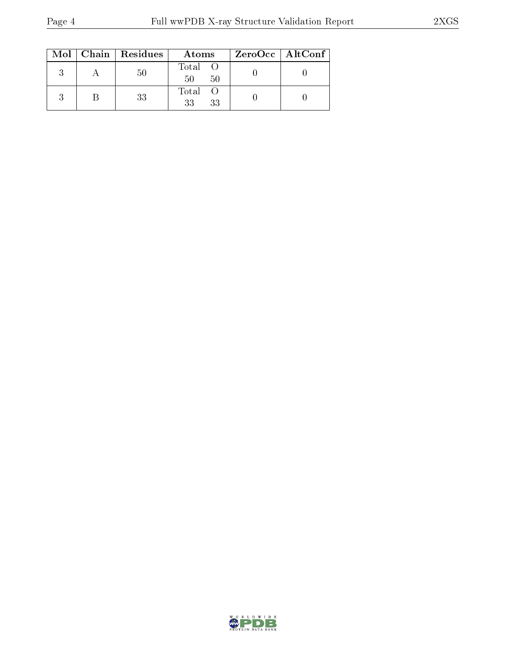|  | Mol   Chain   Residues | Atoms               | ZeroOcc   AltConf |
|--|------------------------|---------------------|-------------------|
|  | 50                     | Total O<br>50<br>50 |                   |
|  | 33                     | Total O<br>33<br>33 |                   |

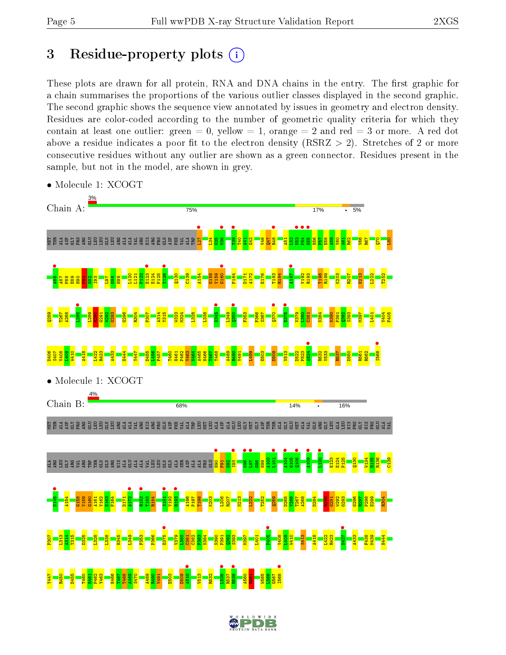# 3 Residue-property plots  $(i)$

These plots are drawn for all protein, RNA and DNA chains in the entry. The first graphic for a chain summarises the proportions of the various outlier classes displayed in the second graphic. The second graphic shows the sequence view annotated by issues in geometry and electron density. Residues are color-coded according to the number of geometric quality criteria for which they contain at least one outlier: green  $= 0$ , yellow  $= 1$ , orange  $= 2$  and red  $= 3$  or more. A red dot above a residue indicates a poor fit to the electron density (RSRZ  $> 2$ ). Stretches of 2 or more consecutive residues without any outlier are shown as a green connector. Residues present in the sample, but not in the model, are shown in grey.



• Molecule 1: XCOGT

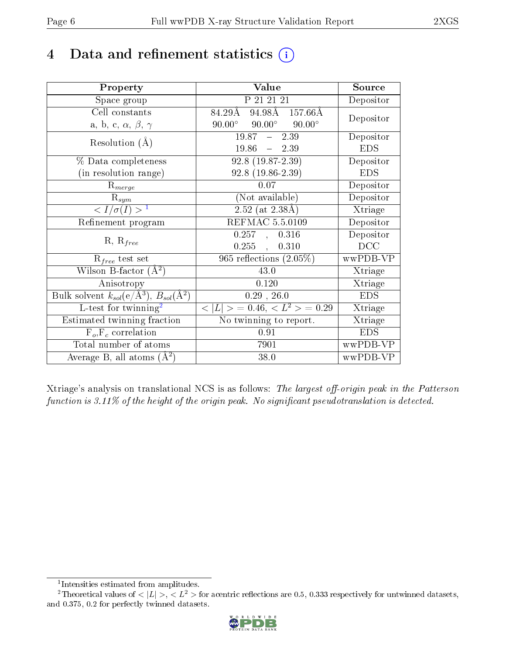## 4 Data and refinement statistics  $(i)$

| Property                                                         | Value                                            | Source     |
|------------------------------------------------------------------|--------------------------------------------------|------------|
| Space group                                                      | P 21 21 21                                       | Depositor  |
| Cell constants                                                   | 84.29Å 94.98Å 157.66Å                            | Depositor  |
| a, b, c, $\alpha$ , $\beta$ , $\gamma$                           | $90.00^{\circ}$ $90.00^{\circ}$<br>$90.00^\circ$ |            |
| Resolution $(A)$                                                 | $19.87 - 2.39$                                   | Depositor  |
|                                                                  | $19.86 - 2.39$                                   | <b>EDS</b> |
| $\%$ Data completeness                                           | $92.8(19.87-2.39)$                               | Depositor  |
| (in resolution range)                                            | $92.8(19.86-2.39)$                               | <b>EDS</b> |
| $R_{merge}$                                                      | 0.07                                             | Depositor  |
| $\mathrm{R}_{sym}$                                               | (Not available)                                  | Depositor  |
| $\langle I/\sigma(I) \rangle^{-1}$                               | $\sqrt{2.52 \text{ (at } 2.38 \text{\AA})}$      | Xtriage    |
| Refinement program                                               | <b>REFMAC 5.5.0109</b>                           | Depositor  |
|                                                                  | 0.257, 0.316                                     | Depositor  |
| $R, R_{free}$                                                    | 0.255,<br>0.310                                  | DCC        |
| $R_{free}$ test set                                              | $\overline{965}$ reflections $(2.05\%)$          | wwPDB-VP   |
| Wilson B-factor $(A^2)$                                          | 43.0                                             | Xtriage    |
| Anisotropy                                                       | 0.120                                            | Xtriage    |
| Bulk solvent $k_{sol}(\text{e}/\text{A}^3), B_{sol}(\text{A}^2)$ | $0.29$ , $26.0$                                  | <b>EDS</b> |
| L-test for $\mathrm{twinning}^2$                                 | $< L >$ = 0.46, $< L2 >$ = 0.29                  | Xtriage    |
| Estimated twinning fraction                                      | No twinning to report.                           | Xtriage    |
| $\overline{F_o}, \overline{F_c}$ correlation                     | 0.91                                             | <b>EDS</b> |
| Total number of atoms                                            | 7901                                             | wwPDB-VP   |
| Average B, all atoms $(A^2)$                                     | 38.0                                             | wwPDB-VP   |

Xtriage's analysis on translational NCS is as follows: The largest off-origin peak in the Patterson function is  $3.11\%$  of the height of the origin peak. No significant pseudotranslation is detected.

<sup>&</sup>lt;sup>2</sup>Theoretical values of  $\langle |L| \rangle$ ,  $\langle L^2 \rangle$  for acentric reflections are 0.5, 0.333 respectively for untwinned datasets, and 0.375, 0.2 for perfectly twinned datasets.



<span id="page-5-1"></span><span id="page-5-0"></span><sup>1</sup> Intensities estimated from amplitudes.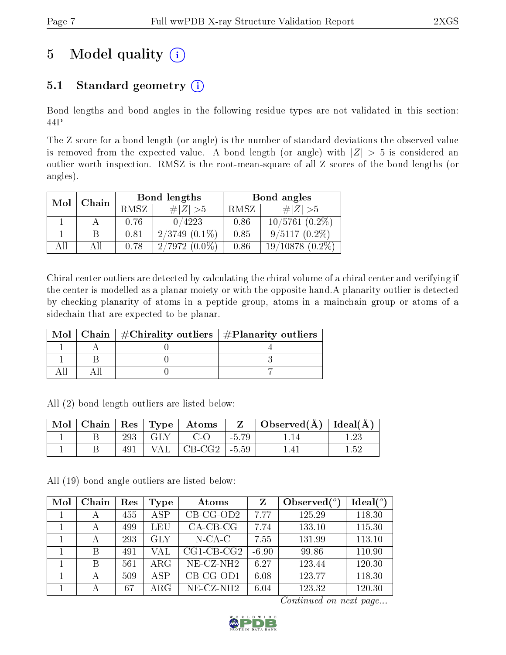# 5 Model quality  $(i)$

## 5.1 Standard geometry  $(i)$

Bond lengths and bond angles in the following residue types are not validated in this section: 44P

The Z score for a bond length (or angle) is the number of standard deviations the observed value is removed from the expected value. A bond length (or angle) with  $|Z| > 5$  is considered an outlier worth inspection. RMSZ is the root-mean-square of all Z scores of the bond lengths (or angles).

| Mol  | Chain |      | Bond lengths       | Bond angles |                       |  |
|------|-------|------|--------------------|-------------|-----------------------|--|
|      |       | RMSZ | $\# Z  > 5$        | RMSZ        | $\# Z  > 5$           |  |
|      |       | 0.76 | 0/4223             | 0.86        | $10/5761(0.2\%)$      |  |
|      |       | 0.81 | $2/3749$ $(0.1\%)$ | 0.85        | $9/5117(0.2\%)$       |  |
| A 11 | ΑH    | 0.78 | $2/7972(0.0\%)$    | 0.86        | 19/10878<br>$(0.2\%)$ |  |

Chiral center outliers are detected by calculating the chiral volume of a chiral center and verifying if the center is modelled as a planar moiety or with the opposite hand.A planarity outlier is detected by checking planarity of atoms in a peptide group, atoms in a mainchain group or atoms of a sidechain that are expected to be planar.

|  | Mol   Chain   $\#\text{Chirality outliers}$   $\#\text{Planarity outliers}$ |  |
|--|-----------------------------------------------------------------------------|--|
|  |                                                                             |  |
|  |                                                                             |  |
|  |                                                                             |  |

All (2) bond length outliers are listed below:

| $^{\prime}$ Mol $\pm$ |     |                   | $\vert$ Chain $\vert$ Res $\vert$ Type $\vert$ Atoms | Z       | $\vert$ Observed( $\AA$ ) $\vert$ Ideal( $\AA$ ) |  |
|-----------------------|-----|-------------------|------------------------------------------------------|---------|--------------------------------------------------|--|
|                       | 293 | $\Box$ GLY $\Box$ | $C$ -O                                               | $-5.79$ |                                                  |  |
|                       | 491 |                   | $VAL$ $CB-CG2$                                       | $-5.59$ |                                                  |  |

All (19) bond angle outliers are listed below:

| Mol | Chain | Res | Type        | Atoms                    | Z       | Observed $(°)$ | Ideal(°) |
|-----|-------|-----|-------------|--------------------------|---------|----------------|----------|
|     | А     | 455 | <b>ASP</b>  | $CB-CG-OD2$              | 7.77    | 125.29         | 118.30   |
|     | А     | 499 | LEU         | $CA$ -CB-CG              | 7.74    | 133.10         | 115.30   |
|     | А     | 293 | <b>GLY</b>  | $N-CA-C$                 | 7.55    | 131.99         | 113.10   |
|     | B     | 491 | VAL         | $CG1$ - $CB$ - $CG2$     | $-6.90$ | 99.86          | 110.90   |
|     | В     | 561 | $\rm{ARG}$  | $NE$ -CZ-NH <sub>2</sub> | 6.27    | 123.44         | 120.30   |
|     | А     | 509 | <b>ASP</b>  | $CB-CG-OD1$              | 6.08    | 123.77         | 118.30   |
|     | А     | 67  | ${\rm ARG}$ | $NE-CZ-NH2$              | 6.04    | 123.32         | 120.30   |

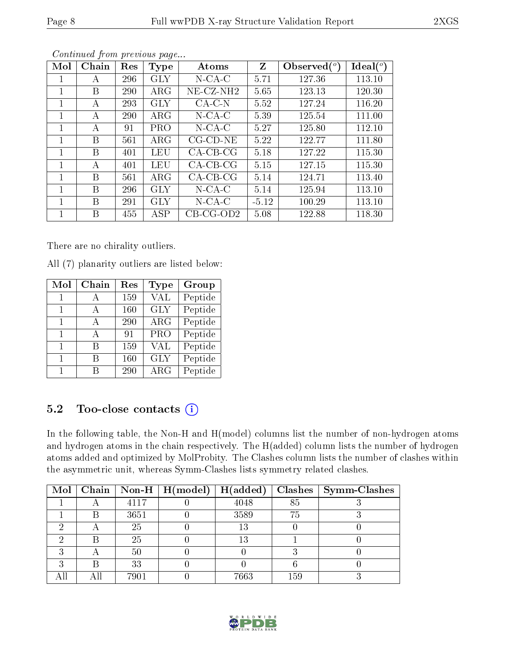| Mol | Chain | Res        | <b>Type</b> | Atoms              | Z       | Observed $(°)$ | Ideal $(°)$ |
|-----|-------|------------|-------------|--------------------|---------|----------------|-------------|
|     | A     | 296        | <b>GLY</b>  | $N$ -CA-C          | 5.71    | 127.36         | 113.10      |
|     | B     | <b>290</b> | $\rm{ARG}$  | $NE-CZ-NH2$        | 5.65    | 123.13         | 120.30      |
|     | А     | 293        | GLY         | $CA-C-N$           | 5.52    | 127.24         | 116.20      |
| 1   | А     | <b>290</b> | $\rm{ARG}$  | $N$ -CA-C          | 5.39    | 125.54         | 111.00      |
|     | А     | 91         | <b>PRO</b>  | $N$ -CA-C          | 5.27    | 125.80         | 112.10      |
|     | B     | 561        | $\rm{ARG}$  | $CG$ - $CD$ - $NE$ | 5.22    | 122.77         | 111.80      |
| 1   | B     | 401        | LEU         | $CA-CB-CG$         | 5.18    | 127.22         | 115.30      |
|     | А     | 401        | LEU         | $CA-CB-CG$         | 5.15    | 127.15         | 115.30      |
|     | B     | 561        | $\rm{ARG}$  | $CA-CB-CG$         | 5.14    | 124.71         | 113.40      |
|     | B     | 296        | GLY         | $N$ -CA-C          | 5.14    | 125.94         | 113.10      |
|     | B     | 291        | <b>GLY</b>  | $N$ -CA-C          | $-5.12$ | 100.29         | 113.10      |
|     | B     | 455        | ASP         | $CB-CG-OD2$        | 5.08    | 122.88         | 118.30      |

Continued from previous page...

There are no chirality outliers.

All (7) planarity outliers are listed below:

| Mol | Chain | Res | Type       | Group                 |
|-----|-------|-----|------------|-----------------------|
| 1   |       | 159 | <b>VAL</b> | Peptide               |
| 1   | А     | 160 | <b>GLY</b> | Peptide               |
| 1   | A     | 290 | $\rm{ARG}$ | Peptide               |
| 1   | А     | 91  | PRO        | Peptide               |
| 1   | R     | 159 | <b>VAL</b> | $\overline{P}$ eptide |
| 1   | В     | 160 | <b>GLY</b> | Peptide               |
| 1   | R     | 290 | $\rm{ARG}$ | Peptide               |

### 5.2 Too-close contacts  $(i)$

In the following table, the Non-H and H(model) columns list the number of non-hydrogen atoms and hydrogen atoms in the chain respectively. The H(added) column lists the number of hydrogen atoms added and optimized by MolProbity. The Clashes column lists the number of clashes within the asymmetric unit, whereas Symm-Clashes lists symmetry related clashes.

| Mol |      | Chain   Non-H   $H (model)$ | H(added) |     | $Clashes$   Symm-Clashes |
|-----|------|-----------------------------|----------|-----|--------------------------|
|     | 4117 |                             | 4048     | 85  |                          |
|     | 3651 |                             | 3589     | 75  |                          |
|     | 25   |                             | 13       |     |                          |
|     | 25   |                             | 13       |     |                          |
|     | 50   |                             |          |     |                          |
|     | 33   |                             |          |     |                          |
|     | 7901 |                             | 7663     | 159 |                          |

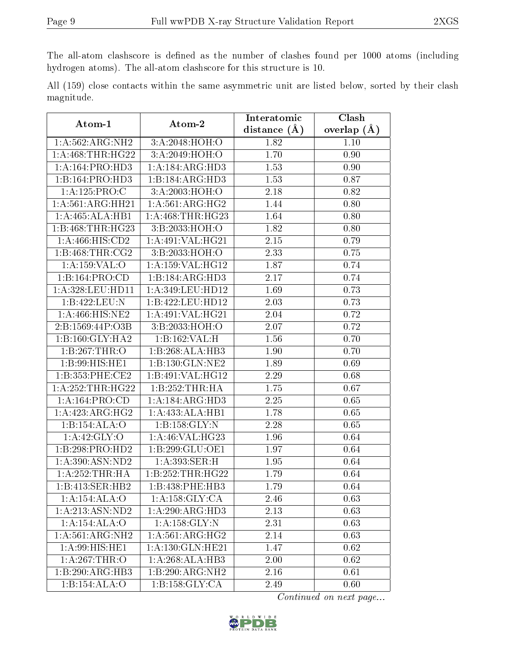The all-atom clashscore is defined as the number of clashes found per 1000 atoms (including hydrogen atoms). The all-atom clashscore for this structure is 10.

|            |  |  | All (159) close contacts within the same asymmetric unit are listed below, sorted by their clash |  |  |  |  |
|------------|--|--|--------------------------------------------------------------------------------------------------|--|--|--|--|
| magnitude. |  |  |                                                                                                  |  |  |  |  |

| Atom-1                      | Atom-2               | Interatomic    | <b>Clash</b>      |  |
|-----------------------------|----------------------|----------------|-------------------|--|
|                             |                      | distance $(A)$ | overlap $(A)$     |  |
| 1:A:562:ARG:NH2             | 3:A:2048:HOH:O       | 1.82           | 1.10              |  |
| 1: A:468:THR:HG22           | 3:A:2049:HOH:O       | 1.70           | 0.90              |  |
| 1:A:164:PRO:H <sub>D3</sub> | 1:A:184:ARG:HD3      | 1.53           | 0.90              |  |
| 1:B:164:PRO:HD3             | 1:B:184:ARG:HD3      | 1.53           | 0.87              |  |
| 1:A:125:PRO:C               | 3:A:2003:HOH:O       | 2.18           | 0.82              |  |
| 1:A:561:ARG:HH21            | 1: A:561: ARG: HG2   | 1.44           | 0.80              |  |
| 1:A:465:ALA:HB1             | 1: A:468:THR:HG23    | 1.64           | 0.80              |  |
| 1:B:468:THR:HG23            | 3: B: 2033: HOH: O   | 1.82           | 0.80              |  |
| 1:A:466:HIS:CD2             | 1:A:491:VAL:HG21     | 2.15           | 0.79              |  |
| 1: B: 468: THR: CG2         | 3:B:2033:HOH:O       | 2.33           | 0.75              |  |
| 1: A: 159: VAL: O           | 1:A:159:VAL:HG12     | 1.87           | 0.74              |  |
| 1:B:164:PRO:CD              | 1:B:184:ARG:HD3      | 2.17           | 0.74              |  |
| 1:A:328:LEU:HD11            | 1:A:349:LEU:HD12     | 1.69           | 0.73              |  |
| 1:B:422:LEU:N               | 1:B:422:LEU:HD12     | 2.03           | 0.73              |  |
| 1:A:466:HIS:NE2             | 1:A:491:VAL:HG21     | 2.04           | 0.72              |  |
| 2:B:1569:44P:O3B            | 3:B:2033:HOH:O       | 2.07           | 0.72              |  |
| 1:B:160:GLY:HA2             | 1:B:162:VAL:H        | 1.56           | 0.70              |  |
| 1:B:267:THR:O               | 1:B:268:ALA:HB3      | 1.90           | 0.70              |  |
| 1:B:99:HIS:HE1              | 1:B:130:GLN:NE2      | 1.89           | 0.69              |  |
| 1:B:353:PHE:CE2             | 1:B:491:VAL:HG12     | 2.29           | 0.68              |  |
| 1: A: 252: THR: HG22        | 1:B:252:THR:HA       | 1.75           | 0.67              |  |
| 1:A:164:PRO:CD              | 1:A:184:ARG:HD3      | 2.25           | 0.65              |  |
| 1:A:423:ARG:HG2             | 1:A:433:ALA:HB1      | 1.78           | 0.65              |  |
| 1:B:154:ALA:O               | 1:B:158:GLY:N        | 2.28           | 0.65              |  |
| 1:A:42:GLY:O                | 1: A:46: VAL:HG23    | 1.96           | 0.64              |  |
| 1:B:298:PRO:HD2             | 1:B:299:GLU:OE1      | 1.97           | 0.64              |  |
| 1: A:390:ASN:ND2            | 1:A:393:SER:H        | 1.95           | $\overline{0.64}$ |  |
| 1: A:252:THR:HA             | 1:B:252:THR:HG22     | 1.79           | 0.64              |  |
| 1:B:413:SER:HB2             | 1:B:438:PHE:HB3      | 1.79           | 0.64              |  |
| 1:A:154:ALA:O               | 1: A: 158: GLY: CA   | 2.46           | 0.63              |  |
| 1: A:213: ASN: ND2          | 1:A:290:ARG:HD3      | 2.13           | 0.63              |  |
| 1:A:154:ALA:O               | 1:A:158:GLY:N        | 2.31           | 0.63              |  |
| 1:A:561:ARG:NH2             | 1: A:561: ARG:HG2    | 2.14           | 0.63              |  |
| 1:A:99:HIS:HE1              | 1: A: 130: GLN: HE21 | 1.47           | 0.62              |  |
| 1: A:267:THR:O              | 1:A:268:ALA:HB3      | 2.00           | 0.62              |  |
| 1:B:290:ARG:HB3             | 1:B:290:ARG:NH2      | 2.16           | 0.61              |  |
| 1:B:154:ALA:O               | 1:B:158:GLY:CA       | 2.49           | 0.60              |  |

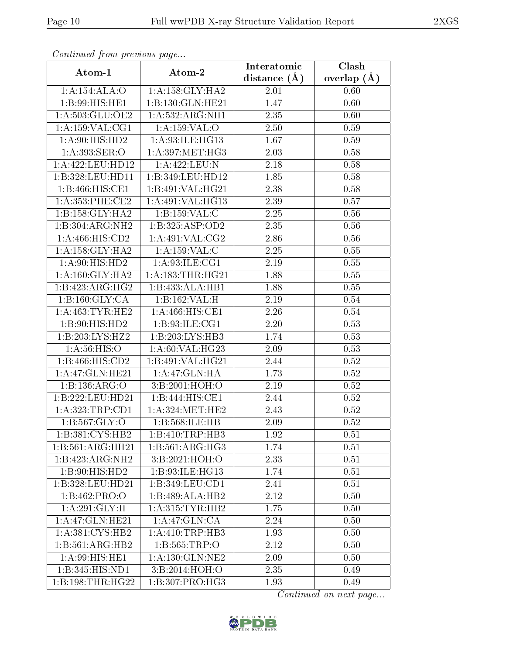| сонинией јтот ртеvиоиз раде |                               | Interatomic    | Clash         |
|-----------------------------|-------------------------------|----------------|---------------|
| Atom-1                      | Atom-2                        | distance $(A)$ | overlap $(A)$ |
| 1:A:154:ALA:O               | 1: A: 158: GLY: HA2           | 2.01           | 0.60          |
| 1:B:99:HIS:HE1              | 1:B:130:GLN:HE21              | 1.47           | 0.60          |
| 1:A:503:GLU:OE2             | 1:A:532:ARG:NH1               | 2.35           | 0.60          |
| 1:A:159:VAL:CG1             | 1:A:159:VAL:O                 | 2.50           | 0.59          |
| 1: A:90: HIS: HD2           | 1: A:93: ILE: HG13            | 1.67           | 0.59          |
| 1:A:393:SER:O               | 1: A:397:MET:HG3              | 2.03           | 0.58          |
| 1: A:422:LEU:HD12           | 1: A:422: LEU: N              | 2.18           | 0.58          |
| 1:B:328:LEU:HD11            | 1:B:349:LEU:HD12              | 1.85           | 0.58          |
| 1:B:466:HIS:CE1             | 1:B:491:VAL:HG21              | 2.38           | 0.58          |
| 1: A: 353: PHE: CE2         | 1:A:491:VAL:HG13              | 2.39           | 0.57          |
| 1:B:158:GLY:HA2             | 1:B:159:VAL:CC                | 2.25           | 0.56          |
| 1:B:304:ARG:NH2             | 1:B:325:ASP:OD2               | 2.35           | 0.56          |
| 1:A:466:HIS:CD2             | 1: A:491: VAL: CG2            | 2.86           | 0.56          |
| 1: A: 158: GLY: HA2         | 1:A:159:VAL:CC                | 2.25           | 0.55          |
| 1: A:90: HIS: HD2           | 1: A:93: ILE: CG1             | 2.19           | 0.55          |
| 1: A:160: GLY: HA2          | 1: A: 183: THR: HG21          | 1.88           | 0.55          |
| 1:B:423:ARG:HG2             | 1:B:433:ALA:HB1               | 1.88           | 0.55          |
| 1: B: 160: GLY: CA          | 1:B:162:VAL:H                 | 2.19           | 0.54          |
| 1: A: 463: TYR: HE2         | $1: A:46\overline{6:HIS:CE1}$ | 2.26           | $0.54\,$      |
| 1:B:90:HIS:HD2              | 1: B:93: ILE: CG1             | 2.20           | 0.53          |
| 1:B:203:LYS:HZ2             | 1:B:203:LYS:HB3               | 1.74           | 0.53          |
| 1: A:56: HIS:O              | 1:A:60:VAL:HG23               | 2.09           | 0.53          |
| 1:B:466:HIS:CD2             | 1:B:491:VAL:HG21              | 2.44           | $0.52\,$      |
| 1:A:47:GLN:HE21             | 1:A:47:GLN:HA                 | 1.73           | 0.52          |
| 1:B:136:ARG:O               | 3:B:2001:HOH:O                | 2.19           | 0.52          |
| 1:B:222:LEU:HD21            | $1:B:444:\overline{HIS:CE1}$  | 2.44           | 0.52          |
| 1: A: 323: TRP: CD1         | 1: A:324:MET:HE2              | 2.43           | 0.52          |
| 1:B:567:GLY:O               | 1:B:568:ILE:HB                | 2.09           | 0.52          |
| 1:B:381:CYS:HB2             | 1:B:410:TRP:HB3               | 1.92           | 0.51          |
| 1:B:561:ARG:HH21            | 1:B:561:ARG:HG3               | 1.74           | 0.51          |
| 1:B:423:ARG:NH2             | 3:B:2021:HOH:O                | 2.33           | 0.51          |
| 1:B:90:HIS:HD2              | 1:B:93:ILE:HG13               | 1.74           | 0.51          |
| 1:B:328:LEU:HD21            | 1:B:349:LEU:CD1               | 2.41           | 0.51          |
| 1:B:462:PRO:O               | 1:B:489:ALA:HB2               | 2.12           | 0.50          |
| 1:A:291:GLY:H               | 1: A:315: TYR: HB2            | 1.75           | 0.50          |
| 1:A:47:GLN:HE21             | 1:A:47:GLN:CA                 | 2.24           | 0.50          |
| 1: A:381: CYS:HB2           | 1: A: 410: TRP: HB3           | 1.93           | 0.50          |
| 1:B:561:ARG:HB2             | 1:B:565:TRP:O                 | 2.12           | 0.50          |
| 1: A:99: HIS: HE1           | 1: A: 130: GLN: NE2           | 2.09           | 0.50          |
| 1:B:345:HIS:ND1             | 3:B:2014:HOH:O                | 2.35           | 0.49          |
| 1:B:198:THR:HG22            | 1:B:307:PRO:HG3               | 1.93           | 0.49          |

Continued from previous page.

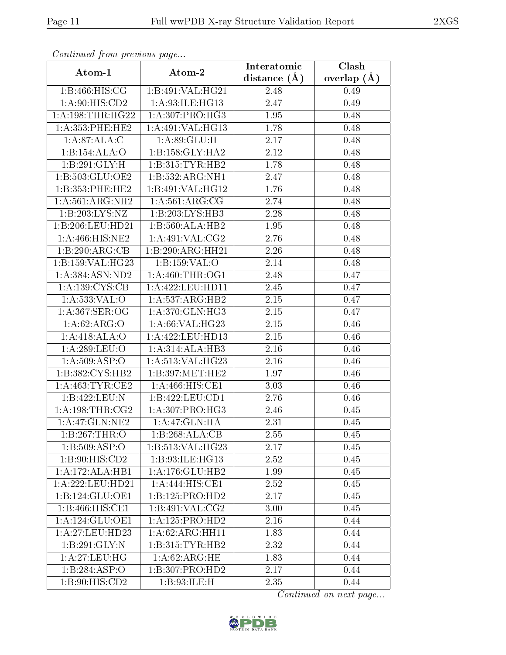| Commaca from previous page    |                     | Interatomic       | Clash         |  |  |
|-------------------------------|---------------------|-------------------|---------------|--|--|
| Atom-1                        | Atom-2              | distance $(A)$    | overlap $(A)$ |  |  |
| 1:B:466:HIS:CG                | 1:B:491:VAL:HG21    | 2.48              | 0.49          |  |  |
| 1:A:90:HIS:CD2                | 1:A:93:ILE:HG13     | 2.47              | 0.49          |  |  |
| 1: A: 198: THR: HG22          | 1:A:307:PRO:HG3     | 1.95              | 0.48          |  |  |
| 1:A:353:PHE:HE2               | 1:A:491:VAL:HG13    | 1.78              | 0.48          |  |  |
| 1:A:87:ALA:C                  | 1: A:89: GLU: H     | $2.17\,$          | 0.48          |  |  |
| 1:B:154:ALA:O                 | 1:B:158:GLY:HA2     | 2.12              | 0.48          |  |  |
| 1:B:291:GLY:H                 | 1: B:315: TYR: HB2  | 1.78              | 0.48          |  |  |
| 1:B:503:GLU:OE2               | 1:B:532:ARG:NH1     | 2.47              | 0.48          |  |  |
| 1: B: 353: PHE: HE2           | 1:B:491:VAL:HG12    | 1.76              | 0.48          |  |  |
| 1: A:561: ARG: NH2            | 1: A:561: ARG: CG   | 2.74              | 0.48          |  |  |
| 1:B:203:LYS:NZ                | 1:B:203:LYS:HB3     | 2.28              | 0.48          |  |  |
| 1:B:206:LEU:HD21              | 1:B:560:ALA:HB2     | 1.95              | 0.48          |  |  |
| 1:A:466:HIS:NE2               | 1:A:491:VAL:CG2     | 2.76              | 0.48          |  |  |
| 1:B:290:ARG:CB                | 1:B:290:ARG:HH21    | 2.26              | 0.48          |  |  |
| 1:B:159:VAL:HG23              | 1:B:159:VAL:O       | 2.14              | 0.48          |  |  |
| 1: A: 384: ASN: ND2           | 1: A:460:THR:OG1    | 2.48              | 0.47          |  |  |
| 1:A:139:CYS:CB                | 1:A:422:LEU:HD11    | 2.45              | 0.47          |  |  |
| 1:A:533:VAL:O                 | 1:A:537:ARG:HB2     | 2.15              | 0.47          |  |  |
| 1:A:367:SER:OG                | 1: A:370: GLN: HG3  | 2.15              | 0.47          |  |  |
| 1: A:62: ARG:O                | 1: A:66: VAL:HG23   | 2.15              | 0.46          |  |  |
| 1:A:418:ALA:O                 | 1:A:422:LEU:HD13    | 2.15              | 0.46          |  |  |
| 1: A:289:LEU:O                | 1:A:314:ALA:HB3     | 2.16              | 0.46          |  |  |
| 1:A:509:ASP:O                 | 1:A:513:VAL:HG23    | 2.16              | 0.46          |  |  |
| 1:B:382:CYS:HB2               | 1:B:397:MET:HE2     | 1.97              | 0.46          |  |  |
| 1:A:463:TYR:CE2               | 1:A:466:HIS:CE1     | 3.03              | 0.46          |  |  |
| 1:B:422:LEU:N                 | 1:B:422:LEU:CD1     | $\overline{2}.76$ | 0.46          |  |  |
| 1: A:198:THR:CG2              | 1:A:307:PRO:HG3     | 2.46              | 0.45          |  |  |
| 1: A:47: GLN: NE2             | 1: A:47: GLN: HA    | 2.31              | 0.45          |  |  |
| 1:B:267:THR:O                 | 1:B:268:ALA:CB      | 2.55              | 0.45          |  |  |
| 1:B:509:ASP:O                 | 1:B:513:VAL:HG23    | 2.17              | 0.45          |  |  |
| $1: B:90: \overline{HIS:CD2}$ | 1:B:93:ILE:HG13     | 2.52              | 0.45          |  |  |
| 1:A:172:ALA:HB1               | 1:A:176:GLU:HB2     | 1.99              | 0.45          |  |  |
| 1:A:222:LEU:HD21              | 1:A:444:HIS:CE1     | 2.52              | 0.45          |  |  |
| 1:B:124:GLU:OE1               | 1:B:125:PRO:HD2     | 2.17              | 0.45          |  |  |
| 1:B:466:HIS:CE1               | 1:B:491:VAL:CG2     | 3.00              | 0.45          |  |  |
| 1:A:124:GLU:OE1               | 1:A:125:PRO:HD2     | 2.16              | 0.44          |  |  |
| 1:A:27:LEU:HD23               | 1: A:62: ARG: HH11  | 1.83              | 0.44          |  |  |
| 1:B:291:GLY:N                 | 1: B: 315: TYR: HB2 | 2.32              | 0.44          |  |  |
| 1:A:27:LEU:HG                 | 1: A:62: ARG:HE     | 1.83              | 0.44          |  |  |
| 1:B:284:ASP:O                 | 1:B:307:PRO:HD2     | 2.17              | 0.44          |  |  |
| $1:B:90:H\overline{IS:CD2}$   | 1:B:93:ILE:H        | 2.35              | 0.44          |  |  |

Continued from previous page.

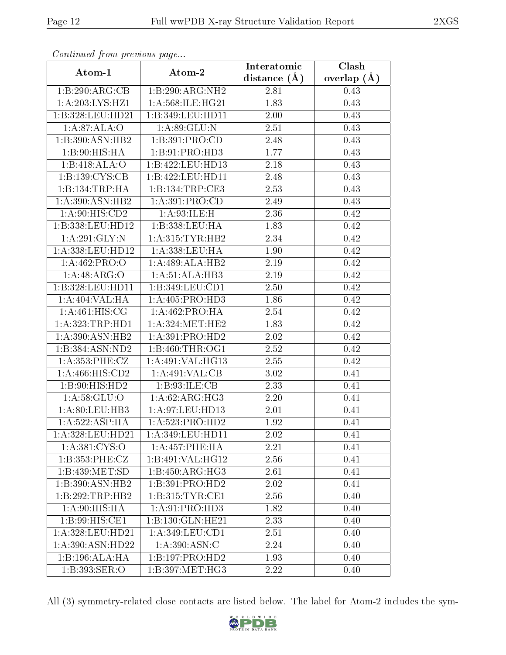| Commaca from previous page |                     | Interatomic    | Clash           |  |  |
|----------------------------|---------------------|----------------|-----------------|--|--|
| Atom-1                     | Atom-2              | distance $(A)$ | overlap $(\AA)$ |  |  |
| 1:B:290:ARG:CB             | 1:B:290:ARG:NH2     | 2.81           | 0.43            |  |  |
| 1:A:203:LYS:HZ1            | 1:A:568:ILE:HG21    | 1.83           | 0.43            |  |  |
| 1:B:328:LEU:HD21           | 1:B:349:LEU:HD11    | 2.00           | 0.43            |  |  |
| 1:A:87:ALA:O               | 1:A:89:GLU:N        | 2.51           | 0.43            |  |  |
| 1:B:390:ASN:HB2            | 1: B:391: PRO:CD    | 2.48           | 0.43            |  |  |
| 1:B:90:HIS:HA              | 1: B: 91: PRO: HD3  | 1.77           | 0.43            |  |  |
| 1:B:418:ALA:O              | 1:B:422:LEU:HD13    | 2.18           | 0.43            |  |  |
| 1:B:139:CYS:CB             | 1:B:422:LEU:HD11    | 2.48           | 0.43            |  |  |
| 1:B:134:TRP:HA             | 1:B:134:TRP:CE3     | 2.53           | 0.43            |  |  |
| 1: A:390:ASN:HB2           | 1: A:391: PRO:CD    | 2.49           | 0.43            |  |  |
| 1:A:90:HIS:CD2             | 1: A:93: ILE:H      | 2.36           | 0.42            |  |  |
| 1:B:338:LEU:HD12           | 1:B:338:LEU:HA      | 1.83           | 0.42            |  |  |
| 1:A:291:GLY:N              | 1: A:315: TYR: HB2  | 2.34           | 0.42            |  |  |
| 1:A:338:LEU:HD12           | 1:A:338:LEU:HA      | 1.90           | 0.42            |  |  |
| 1:A:462:PRO:O              | 1:A:489:ALA:HB2     | 2.19           | 0.42            |  |  |
| 1:A:48:ARG:O               | 1:A:51:ALA:HB3      | 2.19           | 0.42            |  |  |
| 1:B:328:LEU:HD11           | 1:B:349:LEU:CD1     | 2.50           | 0.42            |  |  |
| 1:A:404:VAL:HA             | 1:A:405:PRO:HD3     | 1.86           | 0.42            |  |  |
| 1: A:461: HIS: CG          | 1:A:462:PRO:HA      | 2.54           | 0.42            |  |  |
| 1: A: 323: TRP: HD1        | 1: A:324: MET:HE2   | 1.83           | 0.42            |  |  |
| 1: A:390: ASN: HB2         | 1:A:391:PRO:HD2     | 2.02           | 0.42            |  |  |
| 1:B:384:ASN:ND2            | 1:B:460:THR:OG1     | 2.52           | 0.42            |  |  |
| 1:A:353:PHE:CZ             | 1:A:491:VAL:HG13    | 2.55           | 0.42            |  |  |
| 1:A:466:HIS:CD2            | 1: A:491: VAL:CB    | 3.02           | 0.41            |  |  |
| 1:B:90:HIS:HD2             | 1: B:93: ILE: CB    | 2.33           | 0.41            |  |  |
| 1: A:58: GLU:O             | 1:A:62:ARG:HG3      | 2.20           | 0.41            |  |  |
| 1: A:80: LEU:HB3           | 1:A:97:LEU:HD13     | $2.01\,$       | 0.41            |  |  |
| 1: A: 522: ASP: HA         | 1: A: 523: PRO: HD2 | 1.92           | 0.41            |  |  |
| 1: A:328:LEU:HD21          | 1:A:349:LEU:HD11    | 2.02           | 0.41            |  |  |
| 1: A: 381: CYS:O           | 1:A:457:PHE:HA      | 2.21           | 0.41            |  |  |
| 1:B:353:PHE:CZ             | 1:B:491:VAL:HG12    | 2.56           | 0.41            |  |  |
| 1:B:439:MET:SD             | 1:B:450:ARG:HG3     | 2.61           | 0.41            |  |  |
| 1:B:390:ASN:HB2            | 1:B:391:PRO:HD2     | 2.02           | 0.41            |  |  |
| 1:B:292:TRP:HB2            | 1: B: 315: TYR: CE1 | 2.56           | 0.40            |  |  |
| 1: A:90: HIS: HA           | 1:A:91:PRO:HD3      | 1.82           | 0.40            |  |  |
| 1:B:99:HIS:CE1             | 1:B:130:GLN:HE21    | 2.33           | 0.40            |  |  |
| 1: A:328:LEU:HD21          | 1: A:349:LEU:CD1    | 2.51           | 0.40            |  |  |
| 1:A:390:ASN:HD22           | 1: A:390: ASN: C    | 2.24           | 0.40            |  |  |
| 1:B:196:ALA:HA             | 1:B:197:PRO:HD2     | 1.93           | 0.40            |  |  |
| 1:B:393:SER:O              | 1:B:397:MET:HG3     | 2.22           | 0.40            |  |  |

Continued from previous page.

All (3) symmetry-related close contacts are listed below. The label for Atom-2 includes the sym-

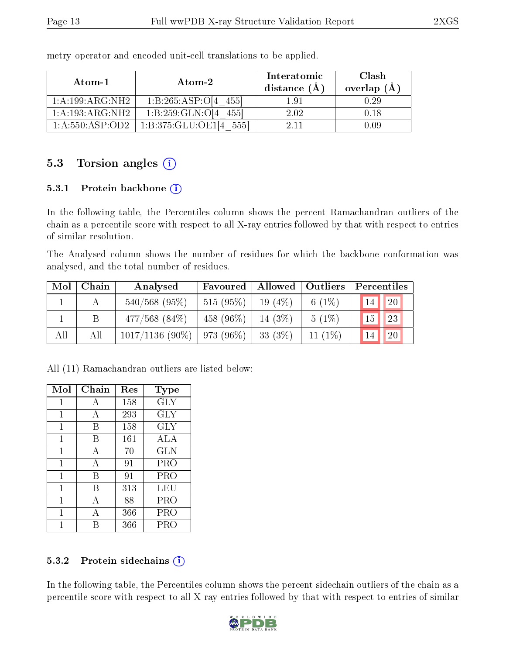| Atom-1              | Atom-2                       | Interatomic<br>distance $(A)$ | Clash<br>overlap $(A)$ |
|---------------------|------------------------------|-------------------------------|------------------------|
| 1:A:199:ARG:NH2     | 1:B:265:ASP:O[4]<br>4551     | 191                           | 0.29                   |
| 1:A:193:ARG:NH2     | 1: B: 259: GLN: O[4]<br>4551 | 202                           | 0.18                   |
| 1: A: 550: ASP: OD2 | 1:B:375:GLU:OE1              | 2.11                          | 0.09                   |

metry operator and encoded unit-cell translations to be applied.

### 5.3 Torsion angles  $(i)$

#### 5.3.1 Protein backbone (i)

In the following table, the Percentiles column shows the percent Ramachandran outliers of the chain as a percentile score with respect to all X-ray entries followed by that with respect to entries of similar resolution.

The Analysed column shows the number of residues for which the backbone conformation was analysed, and the total number of residues.

| Mol | Chain | Analysed           | Favoured     | Allowed   | $\blacksquare$ Outliers | Percentiles |               |
|-----|-------|--------------------|--------------|-----------|-------------------------|-------------|---------------|
|     |       | $540/568$ (95%)    | $515(95\%)$  | 19 $(4%)$ | 6 $(1%)$                | 14          | <sup>20</sup> |
|     | Β     | $477/568$ $(84\%)$ | 458 $(96\%)$ | 14 $(3%)$ | $5(1\%)$                | 15          | <sup>23</sup> |
| All | Αll   | $1017/1136(90\%)$  | $973(96\%)$  | 33 $(3%)$ | 11 $(1\%)$              | 14          | <sup>20</sup> |

All (11) Ramachandran outliers are listed below:

| Mol            | Chain | Res | Type       |
|----------------|-------|-----|------------|
| 1              | А     | 158 | <b>GLY</b> |
| 1              | А     | 293 | <b>GLY</b> |
| 1              | В     | 158 | GLY        |
| $\overline{1}$ | В     | 161 | ALA        |
| 1              | А     | 70  | <b>GLN</b> |
| 1              | A     | 91  | PRO        |
| 1              | В     | 91  | PRO        |
| 1              | В     | 313 | LEU        |
| 1              | A     | 88  | PRO        |
| 1              | A     | 366 | PRO        |
|                | R     | 366 | PRO        |

#### 5.3.2 Protein sidechains  $(i)$

In the following table, the Percentiles column shows the percent sidechain outliers of the chain as a percentile score with respect to all X-ray entries followed by that with respect to entries of similar

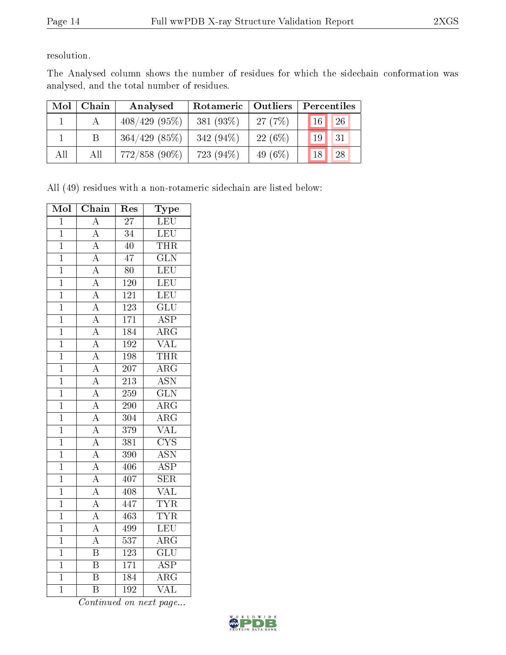resolution.

The Analysed column shows the number of residues for which the sidechain conformation was analysed, and the total number of residues.

| Mol | Chain | Analysed        | Rotameric   Outliers |            | Percentiles         |  |
|-----|-------|-----------------|----------------------|------------|---------------------|--|
|     |       | $408/429(95\%)$ | 381 $(93%)$          | 27(7%)     | 26<br>$\sqrt{16}$   |  |
|     |       | $364/429$ (85%) | 342 $(94\%)$         | 22(6%)     | 31<br>19            |  |
| All | All   | $772/858$ (90%) | 723 (94\%)           | 49 $(6\%)$ | 28<br><sup>18</sup> |  |

All (49) residues with a non-rotameric sidechain are listed below:

| Mol            | Chain                                | Res              | Type                    |
|----------------|--------------------------------------|------------------|-------------------------|
| $\overline{1}$ | $\overline{\rm A}$                   | $\overline{27}$  | LEU                     |
| $\overline{1}$ | $\overline{A}$                       | $\overline{3}4$  | <b>LEU</b>              |
| $\overline{1}$ | $\overline{A}$                       | $\overline{40}$  | THR                     |
| $\overline{1}$ |                                      | $\overline{47}$  | $\overline{\text{GLN}}$ |
| $\overline{1}$ | $\frac{\overline{A}}{A}$             | 80               | LEU                     |
| $\overline{1}$ | $\overline{A}$                       | $\overline{120}$ | LEU                     |
| $\overline{1}$ | $\frac{\overline{A}}{\overline{A}}$  | $\overline{121}$ | LEU                     |
| $\overline{1}$ |                                      | <b>123</b>       | $\overline{\text{GLU}}$ |
| $\overline{1}$ | $\overline{A}$                       | $\overline{171}$ | $\overline{\text{ASP}}$ |
| $\overline{1}$ | $\frac{\overline{A}}{\overline{A}}$  | $\overline{184}$ | $\overline{\rm{ARG}}$   |
| $\overline{1}$ |                                      | 192              | $\overline{\text{VAL}}$ |
| $\mathbf 1$    | $\overline{A}$                       | 198              | THR                     |
| $\overline{1}$ | $\frac{\overline{A}}{\overline{A}}$  | $\overline{207}$ | $\overline{\rm ARG}$    |
| $\overline{1}$ |                                      | 213              | <b>ASN</b>              |
| $\overline{1}$ |                                      | $\overline{259}$ | $\overline{\text{GLN}}$ |
| $\overline{1}$ | $\frac{\overline{A}}{\underline{A}}$ | $\overline{290}$ | $\overline{\rm{ARG}}$   |
| $\mathbf{1}$   |                                      | 304              | $\overline{\rm ARG}$    |
| $\overline{1}$ | $\overline{A}$                       | 379              | $\overline{\text{VAL}}$ |
| $\overline{1}$ | $\frac{\overline{A}}{\overline{A}}$  | 381              | $\overline{\text{CYS}}$ |
| $\overline{1}$ |                                      | 390              | <b>ASN</b>              |
| $\overline{1}$ | $\overline{A}$                       | 406              | $\overline{\text{ASP}}$ |
| $\overline{1}$ | $\frac{\overline{A}}{\overline{A}}$  | 407              | $\overline{\text{SER}}$ |
| $\overline{1}$ |                                      | 408              | $\overline{\text{VAL}}$ |
| $\mathbf 1$    | $\overline{\rm A}$                   | 447              | <b>TYR</b>              |
| $\overline{1}$ | $\frac{\overline{A}}{\overline{A}}$  | $\overline{463}$ | <b>TYR</b>              |
| $\overline{1}$ |                                      | 499              | LEU                     |
| $\overline{1}$ | $\overline{A}$                       | $\overline{537}$ | $\overline{\rm{ARG}}$   |
| $\overline{1}$ | $\overline{\mathrm{B}}$              | $\overline{123}$ | $\overline{\text{GLU}}$ |
| $\mathbf{1}$   | $\overline{\mathrm{B}}$              | 171              | $\overline{\text{ASP}}$ |
| $\overline{1}$ | $\overline{\mathrm{B}}$              | 184              | $\overline{\rm{ARG}}$   |
| $\overline{1}$ | $\overline{\mathrm{B}}$              | $\overline{192}$ | $\overline{\text{VAL}}$ |

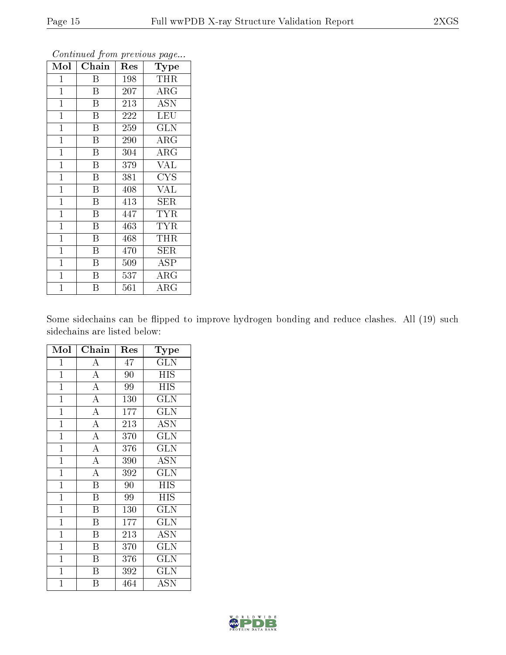| Mol            | Chain                   | Res | Type       |
|----------------|-------------------------|-----|------------|
| $\mathbf 1$    | B                       | 198 | THR        |
| $\mathbf 1$    | Β                       | 207 | $\rm{ARG}$ |
| $\mathbf 1$    | Β                       | 213 | <b>ASN</b> |
| $\mathbf{1}$   | B                       | 222 | <b>LEU</b> |
| $\overline{1}$ | $\overline{\mathrm{B}}$ | 259 | <b>GLN</b> |
| $\mathbf{1}$   | B                       | 290 | $\rm{ARG}$ |
| $\mathbf{1}$   | $\overline{\mathrm{B}}$ | 304 | $\rm{ARG}$ |
| $\mathbf{1}$   | $\bar{\mathrm{B}}$      | 379 | <b>VAL</b> |
| $\mathbf{1}$   | B                       | 381 | <b>CYS</b> |
| $\mathbf{1}$   | B                       | 408 | <b>VAL</b> |
| $\mathbf{1}$   | B                       | 413 | <b>SER</b> |
| $\mathbf{1}$   | B                       | 447 | <b>TYR</b> |
| $\mathbf{1}$   | B                       | 463 | <b>TYR</b> |
| $\mathbf{1}$   | B                       | 468 | THR        |
| $\mathbf{1}$   | $\overline{\mathrm{B}}$ | 470 | <b>SER</b> |
| $\mathbf{1}$   | $\overline{B}$          | 509 | <b>ASP</b> |
| $\mathbf{1}$   | B                       | 537 | $\rm{ARG}$ |
| $\mathbf 1$    | B                       | 561 | $\rm{ARG}$ |

Continued from previous page...

Some sidechains can be flipped to improve hydrogen bonding and reduce clashes. All (19) such sidechains are listed below:

| Mol            | Chain                   | Res | $_{\rm Type}$           |
|----------------|-------------------------|-----|-------------------------|
| $\mathbf 1$    | А                       | 47  | $\operatorname{GLN}$    |
| $\mathbf{1}$   | $\overline{A}$          | 90  | <b>HIS</b>              |
| $\mathbf{1}$   | $\overline{A}$          | 99  | <b>HIS</b>              |
| $\overline{1}$ | $\overline{A}$          | 130 | GLN                     |
| $\overline{1}$ | $\overline{\rm A}$      | 177 | <b>GLN</b>              |
| $\overline{1}$ | $\overline{\rm A}$      | 213 | ĀŠN                     |
| $\overline{1}$ | $\overline{A}$          | 370 | $\overline{\text{GLN}}$ |
| $\overline{1}$ | $\overline{\rm A}$      | 376 | $\overline{\text{GLN}}$ |
| $\mathbf{1}$   | $\overline{A}$          | 390 | <b>ASN</b>              |
| $\mathbf{1}$   | $\overline{A}$          | 392 | <b>GLN</b>              |
| $\mathbf{1}$   | $\overline{\mathrm{B}}$ | 90  | HIS                     |
| $\mathbf 1$    | B                       | 99  | <b>HIS</b>              |
| $\overline{1}$ | $\overline{\mathrm{B}}$ | 130 | <b>GLN</b>              |
| $\mathbf{1}$   | $\overline{\mathrm{B}}$ | 177 | <b>GLN</b>              |
| $\mathbf{1}$   | $\overline{B}$          | 213 | $\rm \overline{A}SN$    |
| $\mathbf{1}$   | $\overline{B}$          | 370 | <b>GLN</b>              |
| $\mathbf{1}$   | $\overline{\mathrm{B}}$ | 376 | <b>GLN</b>              |
| $\mathbf 1$    | B                       | 392 | <b>GLN</b>              |
| 1              | Β                       | 464 | ASN                     |

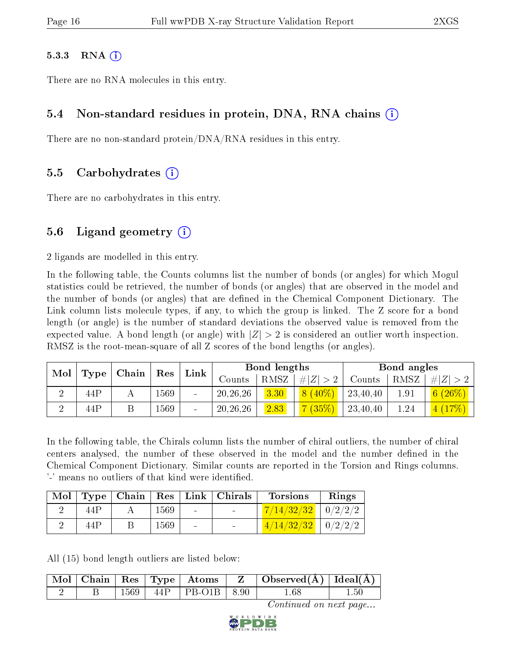#### $5.3.3$  RNA  $(i)$

There are no RNA molecules in this entry.

### 5.4 Non-standard residues in protein, DNA, RNA chains (i)

There are no non-standard protein/DNA/RNA residues in this entry.

### 5.5 Carbohydrates (i)

There are no carbohydrates in this entry.

### 5.6 Ligand geometry  $(i)$

2 ligands are modelled in this entry.

In the following table, the Counts columns list the number of bonds (or angles) for which Mogul statistics could be retrieved, the number of bonds (or angles) that are observed in the model and the number of bonds (or angles) that are defined in the Chemical Component Dictionary. The Link column lists molecule types, if any, to which the group is linked. The Z score for a bond length (or angle) is the number of standard deviations the observed value is removed from the expected value. A bond length (or angle) with  $|Z| > 2$  is considered an outlier worth inspection. RMSZ is the root-mean-square of all Z scores of the bond lengths (or angles).

| Mol<br>Type |     |  | Chain |                          |                  |      |         |          |      |                            |  |  | $\operatorname{Res}$ | $\mathop{\text{Link}}$ |  | Bond lengths |  |  | Bond angles |  |
|-------------|-----|--|-------|--------------------------|------------------|------|---------|----------|------|----------------------------|--|--|----------------------|------------------------|--|--------------|--|--|-------------|--|
|             |     |  |       |                          | $_{\rm{Jounts}}$ | RMSZ | H Z     | Counts   | RMSZ | $\# Z $                    |  |  |                      |                        |  |              |  |  |             |  |
|             | 44P |  | 569   |                          | 20, 26, 26       | 3.30 | $(40\%$ | 23,40,40 | 1.91 | $(26\%)$<br>6 <sup>1</sup> |  |  |                      |                        |  |              |  |  |             |  |
|             | 44P |  | .569  | $\overline{\phantom{0}}$ | 20, 26, 26       | 2.83 | (35%    | 23,40,40 | 1.24 | (17%)<br> 4                |  |  |                      |                        |  |              |  |  |             |  |

In the following table, the Chirals column lists the number of chiral outliers, the number of chiral centers analysed, the number of these observed in the model and the number defined in the Chemical Component Dictionary. Similar counts are reported in the Torsion and Rings columns. '-' means no outliers of that kind were identified.

| $\bf{Mol}$ |      |      |                          | $\vert$ Type $\vert$ Chain $\vert$ Res $\vert$ Link $\vert$ Chirals | <b>Torsions</b>          | Rings |
|------------|------|------|--------------------------|---------------------------------------------------------------------|--------------------------|-------|
|            | 44P  | 1569 | $\sim$                   |                                                                     | $7/14/32/32$   0/2/2/2   |       |
|            | 44 P | 1569 | $\overline{\phantom{0}}$ |                                                                     | $4/14/32/32$   $0/2/2/2$ |       |

All (15) bond length outliers are listed below:

|  |            |                                                 | $\vert$ Mol $\vert$ Chain $\vert$ Res $\vert$ Type $\vert$ Atoms $\vert$ Z $\vert$ Observed(A) $\vert$ Ideal(A) |          |
|--|------------|-------------------------------------------------|-----------------------------------------------------------------------------------------------------------------|----------|
|  | $\pm 1569$ | $\vert$ 44P $\vert$ PB-O1B $\vert$ 8.90 $\vert$ | !.68                                                                                                            | $1.50\,$ |

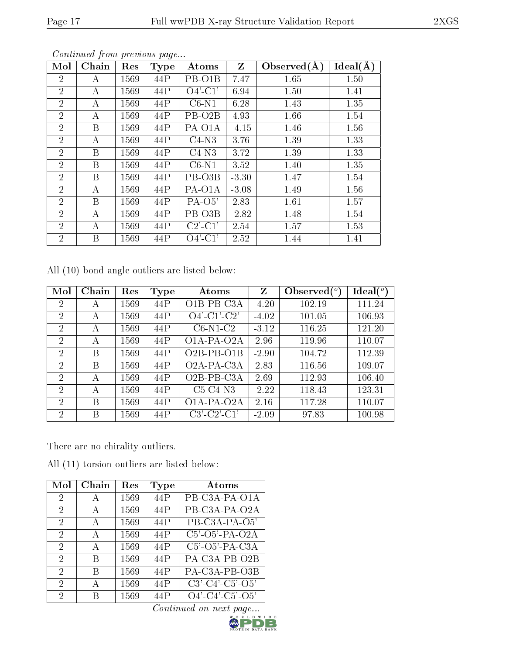| Mol            | Chain | Res  | <b>Type</b> | Atoms               | Z       | Observed $(A)$ | Ideal(A) |
|----------------|-------|------|-------------|---------------------|---------|----------------|----------|
| $\overline{2}$ | А     | 1569 | 44P         | PB-O1B              | 7.47    | 1.65           | 1.50     |
| $\overline{2}$ | А     | 1569 | 44P         | $O4'$ -C1'          | 6.94    | 1.50           | 1.41     |
| $\overline{2}$ | А     | 1569 | 44P         | $C6-N1$             | 6.28    | 1.43           | 1.35     |
| $\overline{2}$ | А     | 1569 | 44P         | PB-O <sub>2</sub> B | 4.93    | 1.66           | 1.54     |
| $\overline{2}$ | В     | 1569 | 44P         | PA-O1A              | $-4.15$ | 1.46           | 1.56     |
| $\overline{2}$ | А     | 1569 | 44P         | $C4-N3$             | 3.76    | 1.39           | 1.33     |
| $\overline{2}$ | B     | 1569 | 44P         | $C4-N3$             | 3.72    | 1.39           | 1.33     |
| $\overline{2}$ | B     | 1569 | 44P         | $C6-N1$             | 3.52    | 1.40           | 1.35     |
| $\overline{2}$ | B     | 1569 | 44P         | PB-O3B              | $-3.30$ | 1.47           | 1.54     |
| $\overline{2}$ | А     | 1569 | 44P         | PA-O1A              | $-3.08$ | 1.49           | 1.56     |
| $\overline{2}$ | B     | 1569 | 44P         | $PA-O5'$            | 2.83    | 1.61           | 1.57     |
| $\overline{2}$ | А     | 1569 | 44P         | PB-O3B              | $-2.82$ | 1.48           | 1.54     |
| $\overline{2}$ | А     | 1569 | 44P         | $C2'$ - $C1'$       | 2.54    | 1.57           | 1.53     |
| $\overline{2}$ | B     | 1569 | 44P         | $O4'$ -C1'          | 2.52    | 1.44           | 1.41     |

Continued from previous page...

All (10) bond angle outliers are listed below:

| Mol            | Chain | Res  | Type | Atoms                                  | Z       | Observed $\binom{o}{c}$ | $\text{Ideal}({}^o)$ |
|----------------|-------|------|------|----------------------------------------|---------|-------------------------|----------------------|
| $\overline{2}$ | А     | 1569 | 44P  | $O$ <sub>1</sub> B-PB-C <sub>3</sub> A | $-4.20$ | 102.19                  | 111.24               |
| $\overline{2}$ | А     | 1569 | 44P  | $O4'$ -C1'-C2'                         | $-4.02$ | 101.05                  | 106.93               |
| 2              | А     | 1569 | 44P  | $C6-N1-C2$                             | $-3.12$ | 116.25                  | 121.20               |
| $\overline{2}$ | А     | 1569 | 44P  | $O1A-PA-O2A$                           | 2.96    | 119.96                  | 110.07               |
| $\overline{2}$ | В     | 1569 | 44P  | $O2B-PB-O1B$                           | $-2.90$ | 104.72                  | 112.39               |
| $\overline{2}$ | В     | 1569 | 44P  | O2A-PA-C3A                             | 2.83    | 116.56                  | 109.07               |
| $\overline{2}$ | А     | 1569 | 44P  | $O2B$ -PB-C3A                          | 2.69    | 112.93                  | 106.40               |
| $\mathcal{P}$  | А     | 1569 | 44P  | $C5-C4-N3$                             | $-2.22$ | 118.43                  | 123.31               |
| $\overline{2}$ | В     | 1569 | 44P  | O1A-PA-O2A                             | 2.16    | 117.28                  | 110.07               |
| 2              | В     | 1569 | 44P  | $C3'-C2'-C1'$                          | $-2.09$ | 97.83                   | 100.98               |

There are no chirality outliers.

All (11) torsion outliers are listed below:

| Mol                         | Chain        | Res  | Type | $\rm{Atoms}$                                  |
|-----------------------------|--------------|------|------|-----------------------------------------------|
| 2                           | A            | 1569 | 44P  | PB-C3A-PA-O1A                                 |
| 2                           | A            | 1569 | 44P  | PB-C3A-PA-O2A                                 |
| 2                           | $\mathbf{A}$ | 1569 | 44P  | PB-C3A-PA-O5'                                 |
| 2                           | $\mathbf{A}$ | 1569 | 44P  | $\overline{C5'$ - $\overline{O5'}$ -PA- $O2A$ |
| 2                           | A            | 1569 | 44P  | $C5'$ -O5'-PA-C3A                             |
| $\mathcal{D}_{\mathcal{A}}$ | B            | 1569 | 44P  | PA-C3A-PB-O2B                                 |
| $\mathcal{D}_{\mathcal{A}}$ | B            | 1569 | 44P  | PA-C3A-PB-O3B                                 |
| 2                           | А            | 1569 | 44P  | $C3'$ - $C4'$ - $C5'$ - $O5'$                 |
| 2                           | R            | 1569 | 44P  | $O4'$ -C4'-C5'-O5'                            |

 $\text{Continued on next page...}$ 

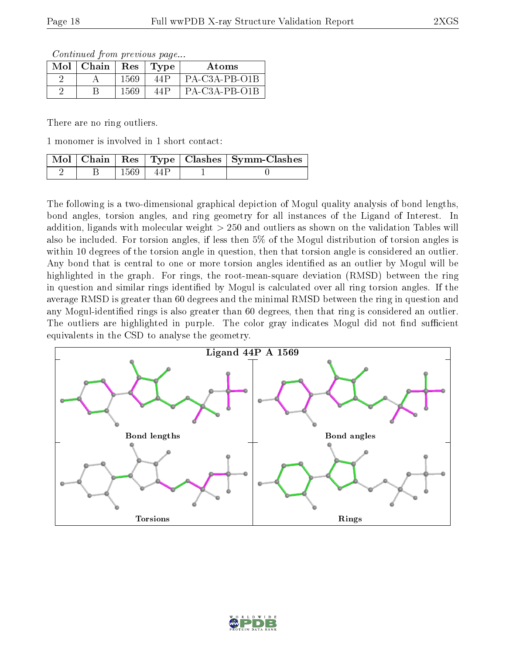Continued from previous page...

| $Mol$   Chain |      | Res   Type | Atoms         |
|---------------|------|------------|---------------|
|               | 1569 | 44P        | PA-C3A-PB-O1B |
|               | 1569 | 44P        | PA-C3A-PB-O1B |

There are no ring outliers.

1 monomer is involved in 1 short contact:

|  |        |     | Mol   Chain   Res   Type   Clashes   Symm-Clashes <sup> </sup> |
|--|--------|-----|----------------------------------------------------------------|
|  | 1569 L | 44P |                                                                |

The following is a two-dimensional graphical depiction of Mogul quality analysis of bond lengths, bond angles, torsion angles, and ring geometry for all instances of the Ligand of Interest. In addition, ligands with molecular weight > 250 and outliers as shown on the validation Tables will also be included. For torsion angles, if less then 5% of the Mogul distribution of torsion angles is within 10 degrees of the torsion angle in question, then that torsion angle is considered an outlier. Any bond that is central to one or more torsion angles identified as an outlier by Mogul will be highlighted in the graph. For rings, the root-mean-square deviation (RMSD) between the ring in question and similar rings identified by Mogul is calculated over all ring torsion angles. If the average RMSD is greater than 60 degrees and the minimal RMSD between the ring in question and any Mogul-identified rings is also greater than 60 degrees, then that ring is considered an outlier. The outliers are highlighted in purple. The color gray indicates Mogul did not find sufficient equivalents in the CSD to analyse the geometry.



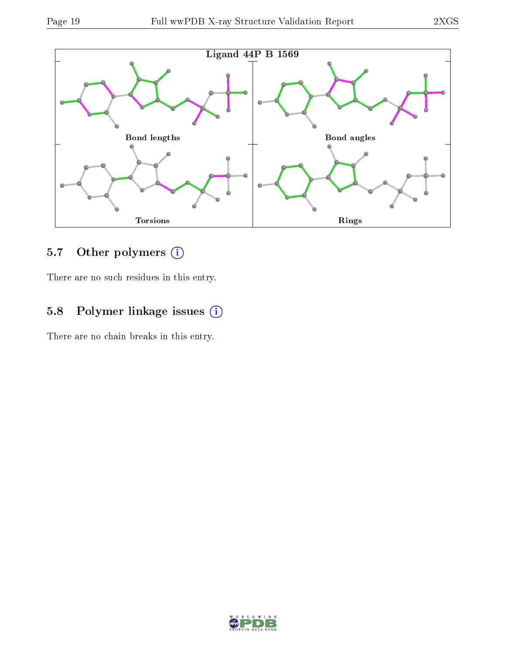

## 5.7 [O](https://www.wwpdb.org/validation/2017/XrayValidationReportHelp#nonstandard_residues_and_ligands)ther polymers (i)

There are no such residues in this entry.

## 5.8 Polymer linkage issues (i)

There are no chain breaks in this entry.

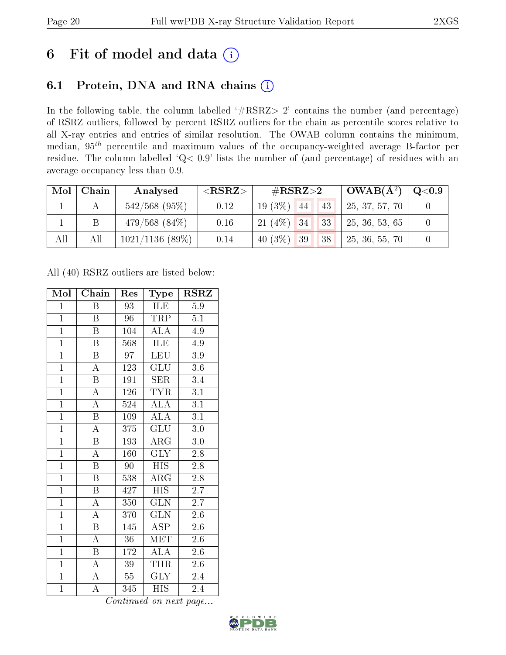# 6 Fit of model and data  $(i)$

## 6.1 Protein, DNA and RNA chains  $(i)$

In the following table, the column labelled  $#RSRZ> 2'$  contains the number (and percentage) of RSRZ outliers, followed by percent RSRZ outliers for the chain as percentile scores relative to all X-ray entries and entries of similar resolution. The OWAB column contains the minimum, median,  $95<sup>th</sup>$  percentile and maximum values of the occupancy-weighted average B-factor per residue. The column labelled ' $Q< 0.9$ ' lists the number of (and percentage) of residues with an average occupancy less than 0.9.

| Mol | Chain | Analysed           | ${ <\hspace{-1.5pt}{\mathrm{RSRZ}} \hspace{-1.5pt}>}$ | $\#\text{RSRZ}{>}2$ |  | $\vert$ OWAB( $\rm \AA^2)$ ) | $\mathrm{Q}{<}0.9$ |  |
|-----|-------|--------------------|-------------------------------------------------------|---------------------|--|------------------------------|--------------------|--|
|     |       | $542/568$ (95%)    | 0.12                                                  | $19(3\%)$ 44        |  | 43                           | 25, 37, 57, 70     |  |
|     |       | $479/568$ $(84\%)$ | 0.16                                                  | $21(4\%)$ 34        |  | 33                           | 25, 36, 53, 65     |  |
| All | All   | 1021/1136(89%)     | 0.14                                                  | 40 $(3\%)$ 39       |  | 38                           | 25, 36, 55, 70     |  |

All (40) RSRZ outliers are listed below:

| Mol            | Chain                   | Res    | Type                           | $\rm RSRZ$       |
|----------------|-------------------------|--------|--------------------------------|------------------|
| $\mathbf{1}$   | B                       | 93     | ILE                            | 5.9              |
| $\overline{1}$ | Β                       | 96     | TRP                            | 5.1              |
| $\overline{1}$ | $\overline{\mathbf{B}}$ | 104    | $\overline{\rm ALA}$           | 4.9              |
| $\overline{1}$ | $\boldsymbol{B}$        | 568    | ILE                            | 4.9              |
| $\overline{1}$ | $\overline{\mathrm{B}}$ | 97     | LEU                            | $\overline{3.9}$ |
| $\overline{1}$ | $\boldsymbol{A}$        | 123    | GLU                            | $3.6\,$          |
| $\overline{1}$ | $\boldsymbol{B}$        | 191    | SER                            | 3.4              |
| $\overline{1}$ | $\overline{\rm A}$      | 126    | <b>TYR</b>                     | $\overline{3.1}$ |
| $\overline{1}$ | $\overline{\rm A}$      | 524    | <b>ALA</b>                     | 3.1              |
| $\overline{1}$ | $\overline{\mathrm{B}}$ | 109    | $\overline{\rm ALA}$           | $\overline{3.1}$ |
| $\overline{1}$ | $\overline{\rm A}$      | 375    | GLU                            | $3.0\,$          |
| $\overline{1}$ | $\overline{\mathrm{B}}$ | 193    | ARG                            | $3.0\,$          |
| $\overline{1}$ | $\overline{\rm A}$      | 160    | <b>GLY</b>                     | 2.8              |
| $\overline{1}$ | $\overline{\mathrm{B}}$ | 90     | $\overline{HIS}$               | $2.8\,$          |
| $\overline{1}$ | $\overline{\mathrm{B}}$ | 538    | $\overline{\rm{ARG}}$          | $\overline{2.8}$ |
| $\mathbf{1}$   | $\, {\bf B}$            | 427    | <b>HIS</b>                     | 2.7              |
| $\overline{1}$ | $\overline{\rm A}$      | 350    | $\overline{\text{GLN}}$        | $\overline{2.7}$ |
| $\overline{1}$ | $\overline{\rm A}$      | 370    | $\overline{\text{GLN}}$        | $2.6\,$          |
| $\overline{1}$ | $\overline{\mathrm{B}}$ | 145    | <b>ASP</b>                     | 2.6              |
| $\overline{1}$ | $\overline{\rm A}$      | 36     | <b>MET</b>                     | $2.6\,$          |
| $\overline{1}$ | $\boldsymbol{B}$        | 172    | <b>ALA</b>                     | 2.6              |
| $\overline{1}$ | А                       | 39     | THR                            | 2.6              |
| $\mathbf{1}$   | A                       | $55\,$ | $\overline{\text{G}}\text{LY}$ | $2.4\,$          |
| $\mathbf{1}$   | A                       | 345    | <b>HIS</b>                     | 2.4              |

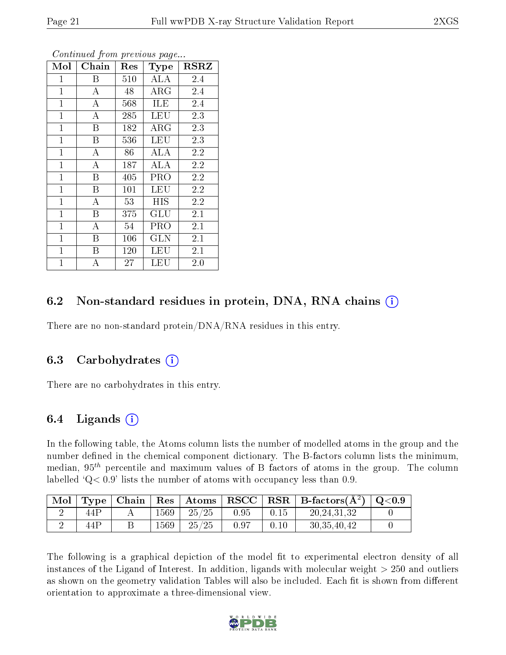| Mol          | Chain                   | Res | Type                 | <b>RSRZ</b> |
|--------------|-------------------------|-----|----------------------|-------------|
| $\mathbf 1$  | B                       | 510 | <b>ALA</b>           | 2.4         |
| $\mathbf 1$  | A                       | 48  | $\rm{ARG}$           | 2.4         |
| $\mathbf{1}$ | $\bf{A}$                | 568 | ILE                  | 2.4         |
| $\mathbf{1}$ | $\bf{A}$                | 285 | <b>LEU</b>           | 2.3         |
| $\mathbf{1}$ | $\overline{\mathrm{B}}$ | 182 | $\rm{ARG}$           | 2.3         |
| $\mathbf{1}$ | Β                       | 536 | <b>LEU</b>           | 2.3         |
| $\mathbf{1}$ | $\boldsymbol{A}$        | 86  | ALA                  | 2.2         |
| $\mathbf{1}$ | A                       | 187 | ALA                  | 2.2         |
| $\mathbf{1}$ | B                       | 405 | PRO                  | 2.2         |
| $\mathbf{1}$ | $\overline{\mathrm{B}}$ | 101 | <b>LEU</b>           | 2.2         |
| $\mathbf{1}$ | $\bf{A}$                | 53  | HIS.                 | 2.2         |
| $\mathbf{1}$ | B                       | 375 | $\operatorname{GLU}$ | 2.1         |
| $\mathbf{1}$ | $\boldsymbol{A}$        | 54  | PRO                  | 2.1         |
| $\mathbf{1}$ | B                       | 106 | <b>GLN</b>           | 2.1         |
| $\mathbf{1}$ | B                       | 120 | LEU                  | 2.1         |
| $\mathbf{1}$ | $\boldsymbol{A}$        | 27  | LEU                  | 2.0         |

Continued from previous page...

### 6.2 Non-standard residues in protein, DNA, RNA chains  $(i)$

There are no non-standard protein/DNA/RNA residues in this entry.

#### 6.3 Carbohydrates (i)

There are no carbohydrates in this entry.

### 6.4 Ligands  $(i)$

In the following table, the Atoms column lists the number of modelled atoms in the group and the number defined in the chemical component dictionary. The B-factors column lists the minimum, median,  $95<sup>th</sup>$  percentile and maximum values of B factors of atoms in the group. The column labelled  $Q< 0.9$ ' lists the number of atoms with occupancy less than 0.9.

|     |      |                                                                |                    |      | $\mid$ Mol $\mid$ Type $\mid$ Chain $\mid$ Res $\mid$ Atoms $\mid$ RSCC $\mid$ RSR $\mid$ B-factors(A <sup>2</sup> ) $\mid$ Q<0.9 |  |
|-----|------|----------------------------------------------------------------|--------------------|------|-----------------------------------------------------------------------------------------------------------------------------------|--|
| 44P | 1569 | $\begin{array}{ c c c c c } \hline 25/25 & \hline \end{array}$ | $\vert 0.95 \vert$ | 0.15 | 20, 24, 31, 32                                                                                                                    |  |
| 44P | 1569 | $-25/25$                                                       | -0.97              | 0.10 | 30, 35, 40, 42                                                                                                                    |  |

The following is a graphical depiction of the model fit to experimental electron density of all instances of the Ligand of Interest. In addition, ligands with molecular weight  $> 250$  and outliers as shown on the geometry validation Tables will also be included. Each fit is shown from different orientation to approximate a three-dimensional view.

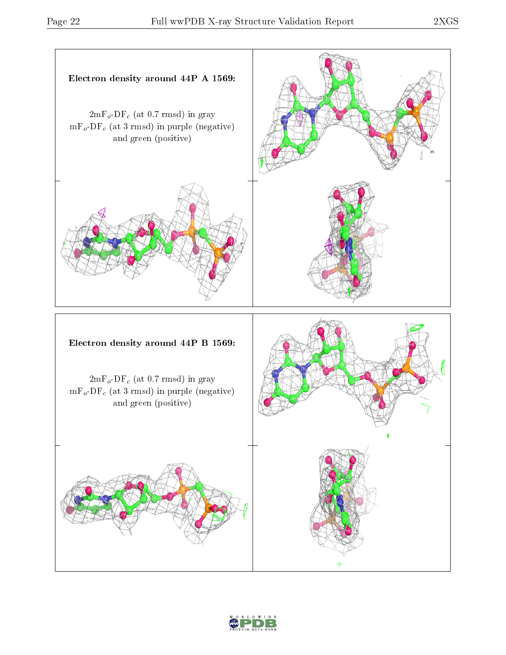